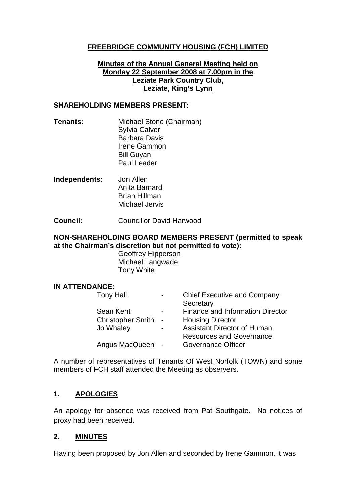## **FREEBRIDGE COMMUNITY HOUSING (FCH) LIMITED**

### **Minutes of the Annual General Meeting held on Monday 22 September 2008 at 7.00pm in the Leziate Park Country Club, Leziate, King's Lynn**

#### **SHAREHOLDING MEMBERS PRESENT:**

- **Tenants:** Michael Stone (Chairman) Sylvia Calver Barbara Davis Irene Gammon Bill Guyan Paul Leader
- **Independents:** Jon Allen Anita Barnard Brian Hillman Michael Jervis

**Council:** Councillor David Harwood

### **NON-SHAREHOLDING BOARD MEMBERS PRESENT (permitted to speak at the Chairman's discretion but not permitted to vote):**

Geoffrey Hipperson Michael Langwade Tony White

### **IN ATTENDANCE:**

| <b>Tony Hall</b>         |            | <b>Chief Executive and Company</b>      |
|--------------------------|------------|-----------------------------------------|
|                          |            | Secretary                               |
| Sean Kent                |            | <b>Finance and Information Director</b> |
| <b>Christopher Smith</b> | $\sim$ $-$ | <b>Housing Director</b>                 |
| Jo Whaley                |            | <b>Assistant Director of Human</b>      |
|                          |            | <b>Resources and Governance</b>         |
| Angus MacQueen           |            | <b>Governance Officer</b>               |
|                          |            |                                         |

A number of representatives of Tenants Of West Norfolk (TOWN) and some members of FCH staff attended the Meeting as observers.

## **1. APOLOGIES**

An apology for absence was received from Pat Southgate. No notices of proxy had been received.

### **2. MINUTES**

Having been proposed by Jon Allen and seconded by Irene Gammon, it was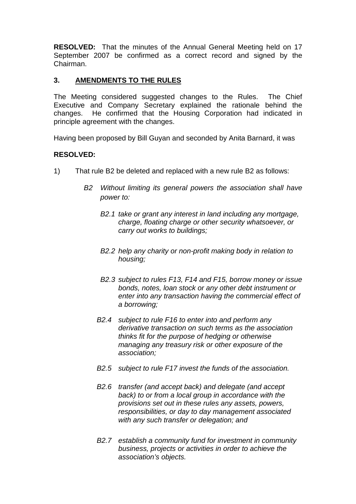**RESOLVED:** That the minutes of the Annual General Meeting held on 17 September 2007 be confirmed as a correct record and signed by the Chairman.

## **3. AMENDMENTS TO THE RULES**

The Meeting considered suggested changes to the Rules. The Chief Executive and Company Secretary explained the rationale behind the changes. He confirmed that the Housing Corporation had indicated in principle agreement with the changes.

Having been proposed by Bill Guyan and seconded by Anita Barnard, it was

## **RESOLVED:**

- 1) That rule B2 be deleted and replaced with a new rule B2 as follows:
	- *B2 Without limiting its general powers the association shall have power to:*
		- *B2.1 take or grant any interest in land including any mortgage, charge, floating charge or other security whatsoever, or carry out works to buildings;*
		- *B2.2 help any charity or non-profit making body in relation to housing;*
		- *B2.3 subject to rules F13, F14 and F15, borrow money or issue bonds, notes, loan stock or any other debt instrument or enter into any transaction having the commercial effect of a borrowing;*
		- *B2.4 subject to rule F16 to enter into and perform any derivative transaction on such terms as the association thinks fit for the purpose of hedging or otherwise managing any treasury risk or other exposure of the association;*
		- *B2.5 subject to rule F17 invest the funds of the association.*
		- *B2.6 transfer (and accept back) and delegate (and accept back) to or from a local group in accordance with the provisions set out in these rules any assets, powers, responsibilities, or day to day management associated with any such transfer or delegation; and*
		- *B2.7 establish a community fund for investment in community business, projects or activities in order to achieve the association's objects.*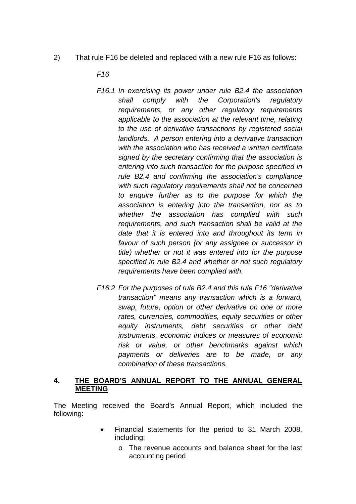2) That rule F16 be deleted and replaced with a new rule F16 as follows:

*F16*

- *F16.1 In exercising its power under rule B2.4 the association shall comply with the Corporation's regulatory requirements, or any other regulatory requirements applicable to the association at the relevant time, relating to the use of derivative transactions by registered social landlords. A person entering into a derivative transaction with the association who has received a written certificate signed by the secretary confirming that the association is entering into such transaction for the purpose specified in rule B2.4 and confirming the association's compliance with such regulatory requirements shall not be concerned to enquire further as to the purpose for which the association is entering into the transaction, nor as to whether the association has complied with such requirements, and such transaction shall be valid at the date that it is entered into and throughout its term in favour of such person (or any assignee or successor in title) whether or not it was entered into for the purpose specified in rule B2.4 and whether or not such regulatory requirements have been complied with.*
- *F16.2 For the purposes of rule B2.4 and this rule F16 "derivative transaction" means any transaction which is a forward, swap, future, option or other derivative on one or more rates, currencies, commodities, equity securities or other equity instruments, debt securities or other debt instruments, economic indices or measures of economic risk or value, or other benchmarks against which payments or deliveries are to be made, or any combination of these transactions.*

### **4. THE BOARD'S ANNUAL REPORT TO THE ANNUAL GENERAL MEETING**

The Meeting received the Board's Annual Report, which included the following:

- Financial statements for the period to 31 March 2008, including:
	- o The revenue accounts and balance sheet for the last accounting period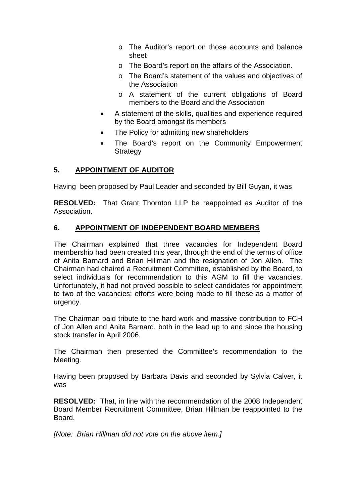- o The Auditor's report on those accounts and balance sheet
- o The Board's report on the affairs of the Association.
- o The Board's statement of the values and objectives of the Association
- o A statement of the current obligations of Board members to the Board and the Association
- A statement of the skills, qualities and experience required by the Board amongst its members
- The Policy for admitting new shareholders
- The Board's report on the Community Empowerment **Strategy**

### **5. APPOINTMENT OF AUDITOR**

Having been proposed by Paul Leader and seconded by Bill Guyan, it was

**RESOLVED:** That Grant Thornton LLP be reappointed as Auditor of the Association.

### **6. APPOINTMENT OF INDEPENDENT BOARD MEMBERS**

The Chairman explained that three vacancies for Independent Board membership had been created this year, through the end of the terms of office of Anita Barnard and Brian Hillman and the resignation of Jon Allen. The Chairman had chaired a Recruitment Committee, established by the Board, to select individuals for recommendation to this AGM to fill the vacancies. Unfortunately, it had not proved possible to select candidates for appointment to two of the vacancies; efforts were being made to fill these as a matter of urgency.

The Chairman paid tribute to the hard work and massive contribution to FCH of Jon Allen and Anita Barnard, both in the lead up to and since the housing stock transfer in April 2006.

The Chairman then presented the Committee's recommendation to the Meeting.

Having been proposed by Barbara Davis and seconded by Sylvia Calver, it was

**RESOLVED:** That, in line with the recommendation of the 2008 Independent Board Member Recruitment Committee, Brian Hillman be reappointed to the Board.

*[Note: Brian Hillman did not vote on the above item.]*